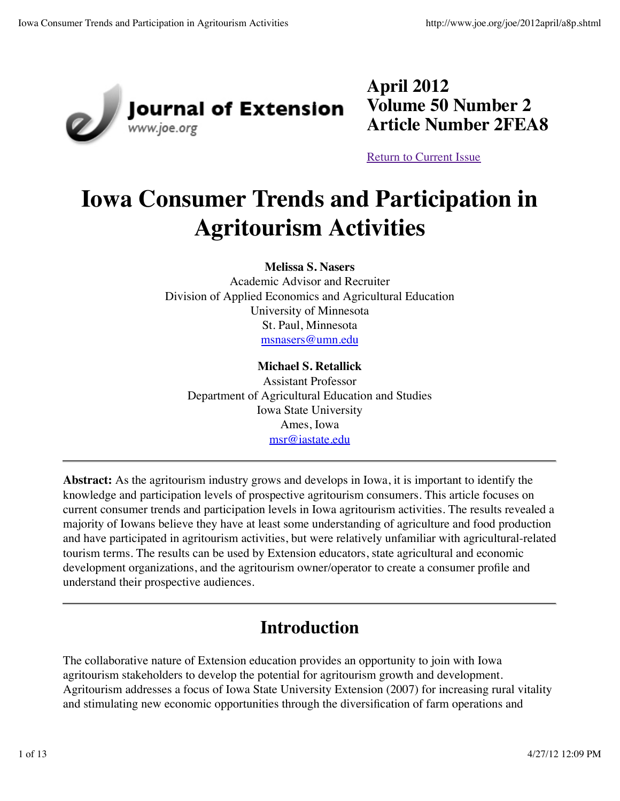

**April 2012 Volume 50 Number 2 Article Number 2FEA8**

Return to Current Issue

# **Iowa Consumer Trends and Participation in Agritourism Activities**

**Melissa S. Nasers**

Academic Advisor and Recruiter Division of Applied Economics and Agricultural Education University of Minnesota St. Paul, Minnesota msnasers@umn.edu

#### **Michael S. Retallick**

Assistant Professor Department of Agricultural Education and Studies Iowa State University Ames, Iowa msr@iastate.edu

**Abstract:** As the agritourism industry grows and develops in Iowa, it is important to identify the knowledge and participation levels of prospective agritourism consumers. This article focuses on current consumer trends and participation levels in Iowa agritourism activities. The results revealed a majority of Iowans believe they have at least some understanding of agriculture and food production and have participated in agritourism activities, but were relatively unfamiliar with agricultural-related tourism terms. The results can be used by Extension educators, state agricultural and economic development organizations, and the agritourism owner/operator to create a consumer profile and understand their prospective audiences.

### **Introduction**

The collaborative nature of Extension education provides an opportunity to join with Iowa agritourism stakeholders to develop the potential for agritourism growth and development. Agritourism addresses a focus of Iowa State University Extension (2007) for increasing rural vitality and stimulating new economic opportunities through the diversification of farm operations and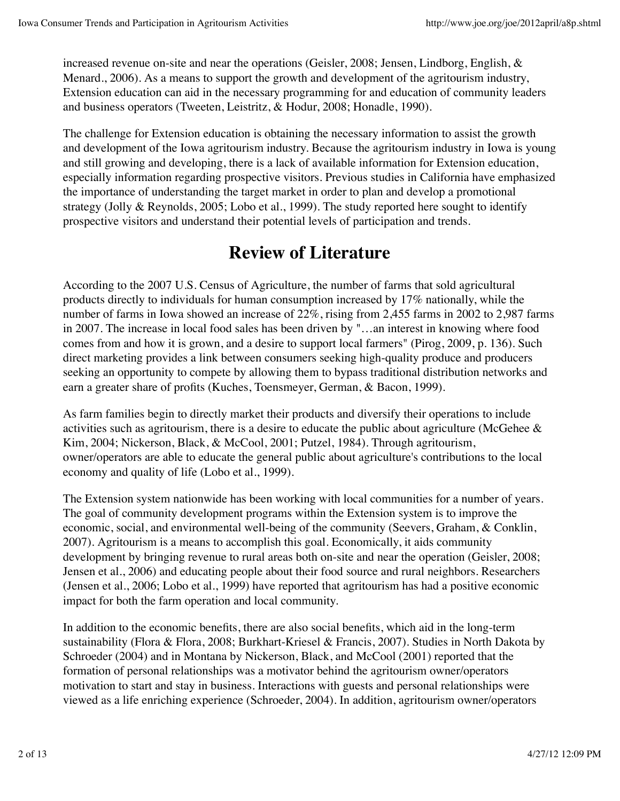increased revenue on-site and near the operations (Geisler, 2008; Jensen, Lindborg, English, & Menard., 2006). As a means to support the growth and development of the agritourism industry, Extension education can aid in the necessary programming for and education of community leaders and business operators (Tweeten, Leistritz, & Hodur, 2008; Honadle, 1990).

The challenge for Extension education is obtaining the necessary information to assist the growth and development of the Iowa agritourism industry. Because the agritourism industry in Iowa is young and still growing and developing, there is a lack of available information for Extension education, especially information regarding prospective visitors. Previous studies in California have emphasized the importance of understanding the target market in order to plan and develop a promotional strategy (Jolly & Reynolds, 2005; Lobo et al., 1999). The study reported here sought to identify prospective visitors and understand their potential levels of participation and trends.

# **Review of Literature**

According to the 2007 U.S. Census of Agriculture, the number of farms that sold agricultural products directly to individuals for human consumption increased by 17% nationally, while the number of farms in Iowa showed an increase of 22%, rising from 2,455 farms in 2002 to 2,987 farms in 2007. The increase in local food sales has been driven by "…an interest in knowing where food comes from and how it is grown, and a desire to support local farmers" (Pirog, 2009, p. 136). Such direct marketing provides a link between consumers seeking high-quality produce and producers seeking an opportunity to compete by allowing them to bypass traditional distribution networks and earn a greater share of profits (Kuches, Toensmeyer, German, & Bacon, 1999).

As farm families begin to directly market their products and diversify their operations to include activities such as agritourism, there is a desire to educate the public about agriculture (McGehee & Kim, 2004; Nickerson, Black, & McCool, 2001; Putzel, 1984). Through agritourism, owner/operators are able to educate the general public about agriculture's contributions to the local economy and quality of life (Lobo et al., 1999).

The Extension system nationwide has been working with local communities for a number of years. The goal of community development programs within the Extension system is to improve the economic, social, and environmental well-being of the community (Seevers, Graham, & Conklin, 2007). Agritourism is a means to accomplish this goal. Economically, it aids community development by bringing revenue to rural areas both on-site and near the operation (Geisler, 2008; Jensen et al., 2006) and educating people about their food source and rural neighbors. Researchers (Jensen et al., 2006; Lobo et al., 1999) have reported that agritourism has had a positive economic impact for both the farm operation and local community.

In addition to the economic benefits, there are also social benefits, which aid in the long-term sustainability (Flora & Flora, 2008; Burkhart-Kriesel & Francis, 2007). Studies in North Dakota by Schroeder (2004) and in Montana by Nickerson, Black, and McCool (2001) reported that the formation of personal relationships was a motivator behind the agritourism owner/operators motivation to start and stay in business. Interactions with guests and personal relationships were viewed as a life enriching experience (Schroeder, 2004). In addition, agritourism owner/operators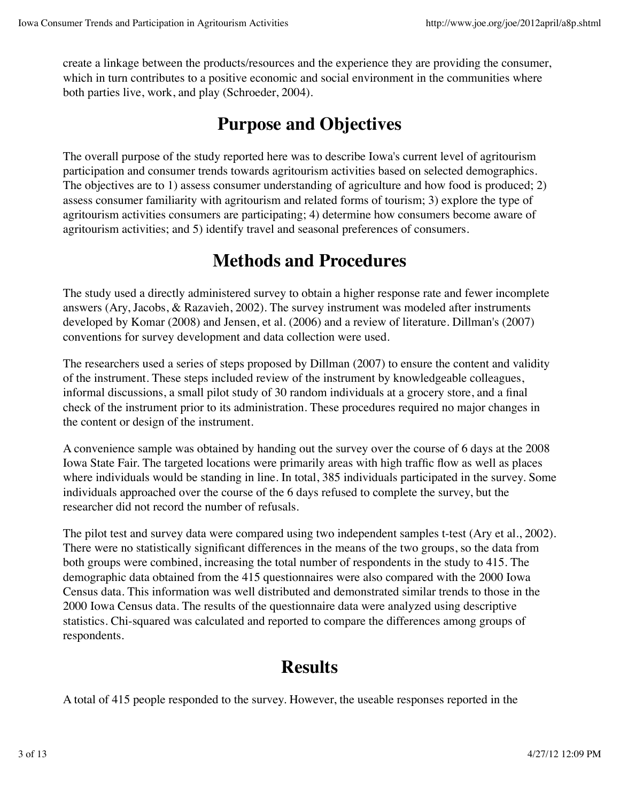create a linkage between the products/resources and the experience they are providing the consumer, which in turn contributes to a positive economic and social environment in the communities where both parties live, work, and play (Schroeder, 2004).

## **Purpose and Objectives**

The overall purpose of the study reported here was to describe Iowa's current level of agritourism participation and consumer trends towards agritourism activities based on selected demographics. The objectives are to 1) assess consumer understanding of agriculture and how food is produced; 2) assess consumer familiarity with agritourism and related forms of tourism; 3) explore the type of agritourism activities consumers are participating; 4) determine how consumers become aware of agritourism activities; and 5) identify travel and seasonal preferences of consumers.

## **Methods and Procedures**

The study used a directly administered survey to obtain a higher response rate and fewer incomplete answers (Ary, Jacobs, & Razavieh, 2002). The survey instrument was modeled after instruments developed by Komar (2008) and Jensen, et al. (2006) and a review of literature. Dillman's (2007) conventions for survey development and data collection were used.

The researchers used a series of steps proposed by Dillman (2007) to ensure the content and validity of the instrument. These steps included review of the instrument by knowledgeable colleagues, informal discussions, a small pilot study of 30 random individuals at a grocery store, and a final check of the instrument prior to its administration. These procedures required no major changes in the content or design of the instrument.

A convenience sample was obtained by handing out the survey over the course of 6 days at the 2008 Iowa State Fair. The targeted locations were primarily areas with high traffic flow as well as places where individuals would be standing in line. In total, 385 individuals participated in the survey. Some individuals approached over the course of the 6 days refused to complete the survey, but the researcher did not record the number of refusals.

The pilot test and survey data were compared using two independent samples t-test (Ary et al., 2002). There were no statistically significant differences in the means of the two groups, so the data from both groups were combined, increasing the total number of respondents in the study to 415. The demographic data obtained from the 415 questionnaires were also compared with the 2000 Iowa Census data. This information was well distributed and demonstrated similar trends to those in the 2000 Iowa Census data. The results of the questionnaire data were analyzed using descriptive statistics. Chi-squared was calculated and reported to compare the differences among groups of respondents.

#### **Results**

A total of 415 people responded to the survey. However, the useable responses reported in the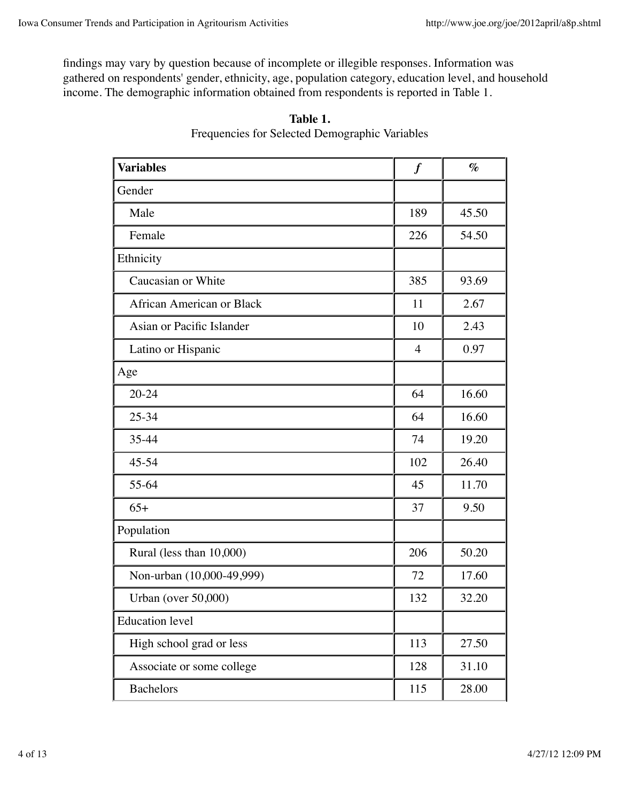findings may vary by question because of incomplete or illegible responses. Information was gathered on respondents' gender, ethnicity, age, population category, education level, and household income. The demographic information obtained from respondents is reported in Table 1.

| <b>Variables</b>          | $\boldsymbol{f}$ | $\%$  |  |
|---------------------------|------------------|-------|--|
| Gender                    |                  |       |  |
| Male                      | 189              | 45.50 |  |
| Female                    | 226              | 54.50 |  |
| Ethnicity                 |                  |       |  |
| Caucasian or White        | 385              | 93.69 |  |
| African American or Black | 11               | 2.67  |  |
| Asian or Pacific Islander | 10               | 2.43  |  |
| Latino or Hispanic        | $\overline{4}$   | 0.97  |  |
| Age                       |                  |       |  |
| $20 - 24$                 | 64               | 16.60 |  |
| 25-34                     | 64               | 16.60 |  |
| 35-44                     | 74               | 19.20 |  |
| 45-54                     | 102              | 26.40 |  |
| 55-64                     | 45               | 11.70 |  |
| $65+$                     | 37               | 9.50  |  |
| Population                |                  |       |  |
| Rural (less than 10,000)  | 206              | 50.20 |  |
| Non-urban (10,000-49,999) | 72               | 17.60 |  |
| Urban (over 50,000)       | 132              | 32.20 |  |
| <b>Education</b> level    |                  |       |  |
| High school grad or less  | 113              | 27.50 |  |
| Associate or some college | 128              | 31.10 |  |
| <b>Bachelors</b>          | 115              | 28.00 |  |

| Table 1.                                       |  |
|------------------------------------------------|--|
| Frequencies for Selected Demographic Variables |  |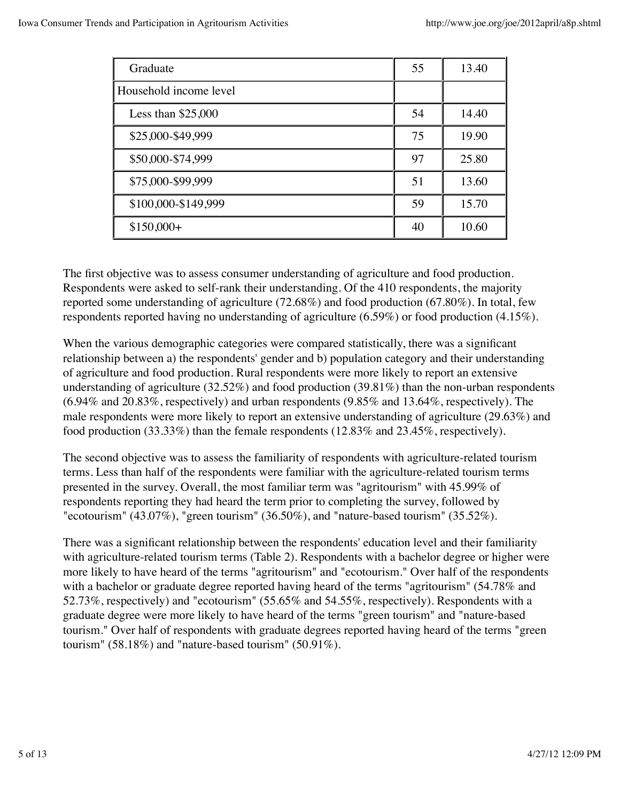| Graduate               | 55 | 13.40 |
|------------------------|----|-------|
| Household income level |    |       |
| Less than $$25,000$    | 54 | 14.40 |
| \$25,000-\$49,999      | 75 | 19.90 |
| \$50,000-\$74,999      | 97 | 25.80 |
| \$75,000-\$99,999      | 51 | 13.60 |
| \$100,000-\$149,999    | 59 | 15.70 |
| $$150,000+$            | 40 | 10.60 |

The first objective was to assess consumer understanding of agriculture and food production. Respondents were asked to self-rank their understanding. Of the 410 respondents, the majority reported some understanding of agriculture (72.68%) and food production (67.80%). In total, few respondents reported having no understanding of agriculture (6.59%) or food production (4.15%).

When the various demographic categories were compared statistically, there was a significant relationship between a) the respondents' gender and b) population category and their understanding of agriculture and food production. Rural respondents were more likely to report an extensive understanding of agriculture (32.52%) and food production (39.81%) than the non-urban respondents  $(6.94\%$  and  $20.83\%$ , respectively) and urban respondents  $(9.85\%$  and  $13.64\%$ , respectively). The male respondents were more likely to report an extensive understanding of agriculture (29.63%) and food production (33.33%) than the female respondents (12.83% and 23.45%, respectively).

The second objective was to assess the familiarity of respondents with agriculture-related tourism terms. Less than half of the respondents were familiar with the agriculture-related tourism terms presented in the survey. Overall, the most familiar term was "agritourism" with 45.99% of respondents reporting they had heard the term prior to completing the survey, followed by "ecotourism" (43.07%), "green tourism" (36.50%), and "nature-based tourism" (35.52%).

There was a significant relationship between the respondents' education level and their familiarity with agriculture-related tourism terms (Table 2). Respondents with a bachelor degree or higher were more likely to have heard of the terms "agritourism" and "ecotourism." Over half of the respondents with a bachelor or graduate degree reported having heard of the terms "agritourism" (54.78% and 52.73%, respectively) and "ecotourism" (55.65% and 54.55%, respectively). Respondents with a graduate degree were more likely to have heard of the terms "green tourism" and "nature-based tourism." Over half of respondents with graduate degrees reported having heard of the terms "green tourism" (58.18%) and "nature-based tourism" (50.91%).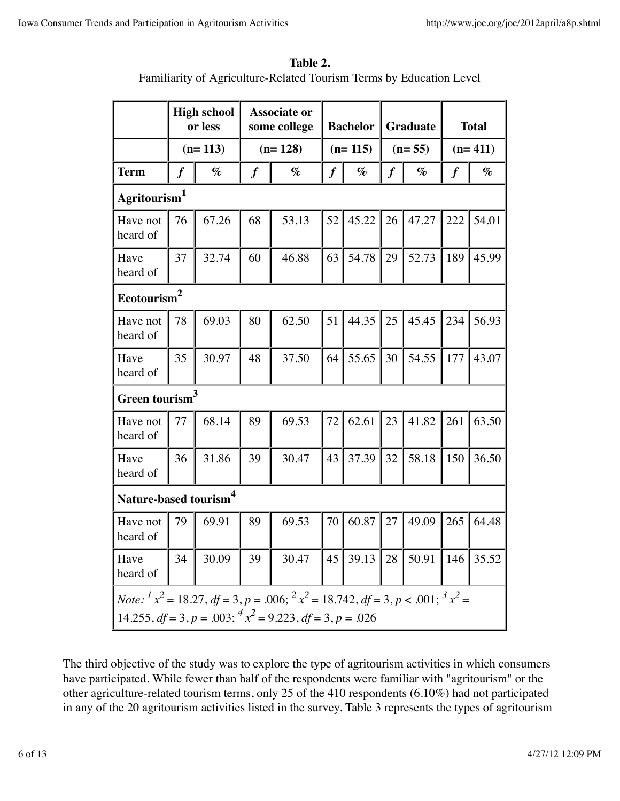| Table 2.                                                            |
|---------------------------------------------------------------------|
| Familiarity of Agriculture-Related Tourism Terms by Education Level |

|                                                                                                                                                                                                  | <b>High school</b><br>or less |       | <b>Associate or</b><br>some college |       | <b>Bachelor</b>  |       | <b>Graduate</b>  |       | <b>Total</b>     |       |
|--------------------------------------------------------------------------------------------------------------------------------------------------------------------------------------------------|-------------------------------|-------|-------------------------------------|-------|------------------|-------|------------------|-------|------------------|-------|
|                                                                                                                                                                                                  | $(n=113)$                     |       | $(n=128)$                           |       | $(n=115)$        |       | $(n=55)$         |       | $(n=411)$        |       |
| <b>Term</b>                                                                                                                                                                                      | $\boldsymbol{f}$              | $\%$  | $\boldsymbol{f}$                    | $\%$  | $\boldsymbol{f}$ | $\%$  | $\boldsymbol{f}$ | $\%$  | $\boldsymbol{f}$ | $\%$  |
| Agritourism <sup>1</sup>                                                                                                                                                                         |                               |       |                                     |       |                  |       |                  |       |                  |       |
| Have not<br>heard of                                                                                                                                                                             | 76                            | 67.26 | 68                                  | 53.13 | 52               | 45.22 | 26               | 47.27 | 222              | 54.01 |
| Have<br>heard of                                                                                                                                                                                 | 37                            | 32.74 | 60                                  | 46.88 | 63               | 54.78 | 29               | 52.73 | 189              | 45.99 |
| Ecotourism <sup>2</sup>                                                                                                                                                                          |                               |       |                                     |       |                  |       |                  |       |                  |       |
| Have not<br>heard of                                                                                                                                                                             | 78                            | 69.03 | 80                                  | 62.50 | 51               | 44.35 | 25               | 45.45 | 234              | 56.93 |
| Have<br>heard of                                                                                                                                                                                 | 35                            | 30.97 | 48                                  | 37.50 | 64               | 55.65 | 30               | 54.55 | 177              | 43.07 |
| Green tourism <sup>3</sup>                                                                                                                                                                       |                               |       |                                     |       |                  |       |                  |       |                  |       |
| Have not<br>heard of                                                                                                                                                                             | 77                            | 68.14 | 89                                  | 69.53 | 72               | 62.61 | 23               | 41.82 | 261              | 63.50 |
| Have<br>heard of                                                                                                                                                                                 | 36                            | 31.86 | 39                                  | 30.47 | 43               | 37.39 | 32               | 58.18 | 150              | 36.50 |
| Nature-based tourism <sup>4</sup>                                                                                                                                                                |                               |       |                                     |       |                  |       |                  |       |                  |       |
| Have not<br>heard of                                                                                                                                                                             | 79                            | 69.91 | 89                                  | 69.53 | 70               | 60.87 | 27               | 49.09 | 265              | 64.48 |
| Have<br>heard of                                                                                                                                                                                 | 34                            | 30.09 | 39                                  | 30.47 | 45               | 39.13 | 28               | 50.91 | 146              | 35.52 |
| <i>Note:</i> $x^2 = 18.27$ , $df = 3$ , $p = .006$ ; $x^2 = 18.742$ , $df = 3$ , $p < .001$ ; $x^3 = 18.742$<br>14.255, $df = 3$ , $p = .003$ ; $\frac{4x^2}{9} = 9.223$ , $df = 3$ , $p = .026$ |                               |       |                                     |       |                  |       |                  |       |                  |       |

The third objective of the study was to explore the type of agritourism activities in which consumers have participated. While fewer than half of the respondents were familiar with "agritourism" or the other agriculture-related tourism terms, only 25 of the 410 respondents (6.10%) had not participated in any of the 20 agritourism activities listed in the survey. Table 3 represents the types of agritourism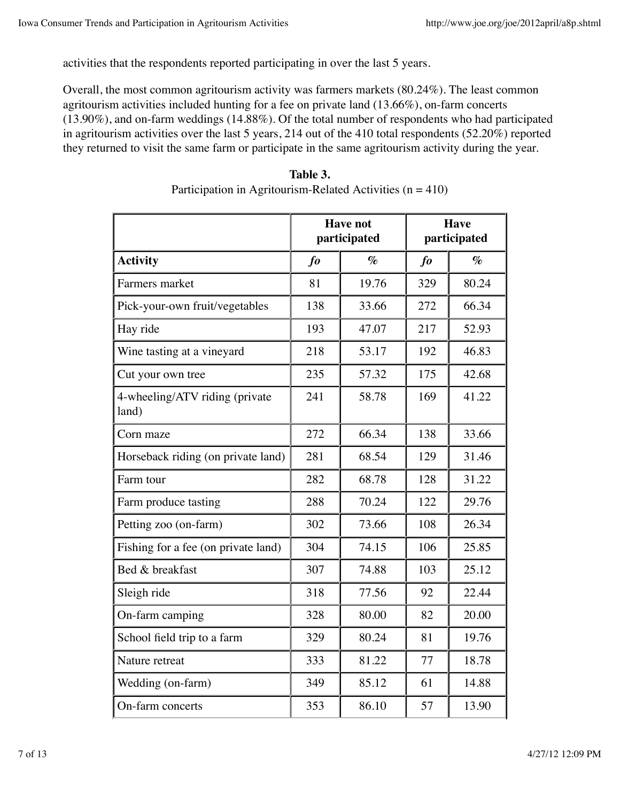activities that the respondents reported participating in over the last 5 years.

Overall, the most common agritourism activity was farmers markets (80.24%). The least common agritourism activities included hunting for a fee on private land (13.66%), on-farm concerts (13.90%), and on-farm weddings (14.88%). Of the total number of respondents who had participated in agritourism activities over the last 5 years, 214 out of the 410 total respondents (52.20%) reported they returned to visit the same farm or participate in the same agritourism activity during the year.

|                                         |              | <b>Have not</b><br>participated | Have<br>participated       |                             |  |
|-----------------------------------------|--------------|---------------------------------|----------------------------|-----------------------------|--|
| <b>Activity</b>                         | $\int$       | $\mathcal{O}_{\mathcal{O}}$     | $\boldsymbol{\mathit{fo}}$ | $\mathcal{O}_{\mathcal{O}}$ |  |
| Farmers market                          | 81           | 19.76                           | 329                        | 80.24                       |  |
| Pick-your-own fruit/vegetables          | 138          | 33.66                           | 272                        | 66.34                       |  |
| Hay ride                                | 193          | 47.07                           | 217                        | 52.93                       |  |
| Wine tasting at a vineyard              | 218          | 53.17                           | 192                        | 46.83                       |  |
| Cut your own tree                       | 235          | 57.32                           | 175                        | 42.68                       |  |
| 4-wheeling/ATV riding (private<br>land) | 241          | 58.78                           | 169                        | 41.22                       |  |
| Corn maze                               | 272<br>66.34 |                                 | 138                        | 33.66                       |  |
| Horseback riding (on private land)      | 281          | 68.54                           | 129                        | 31.46                       |  |
| Farm tour                               | 282          | 68.78                           | 128                        | 31.22                       |  |
| Farm produce tasting                    | 288          | 70.24                           | 122                        | 29.76                       |  |
| Petting zoo (on-farm)                   | 302          | 73.66                           | 108                        | 26.34                       |  |
| Fishing for a fee (on private land)     | 304          | 74.15                           | 106                        | 25.85                       |  |
| Bed & breakfast                         | 307          | 74.88                           | 103                        | 25.12                       |  |
| Sleigh ride                             | 318          | 77.56                           | 92                         | 22.44                       |  |
| On-farm camping                         | 328          | 80.00                           | 82                         | 20.00                       |  |
| School field trip to a farm             | 329          | 80.24                           | 81                         | 19.76                       |  |
| Nature retreat                          | 333          | 81.22                           | 77                         | 18.78                       |  |
| Wedding (on-farm)                       | 349          | 85.12                           | 61                         | 14.88                       |  |
| On-farm concerts                        | 353          | 86.10                           | 57                         | 13.90                       |  |

| Table 3.                                                      |
|---------------------------------------------------------------|
| Participation in Agritourism-Related Activities ( $n = 410$ ) |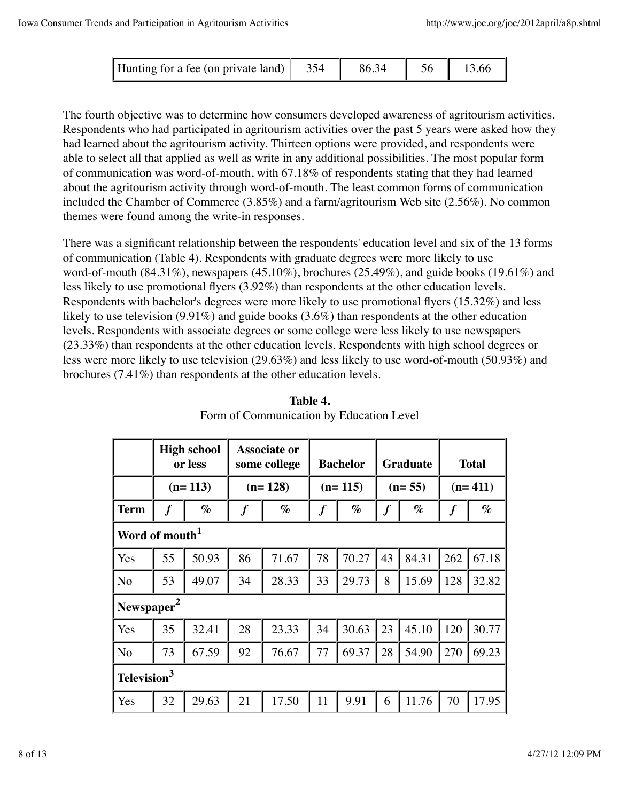| Hunting for a fee (on private land) |  |  |  |  |
|-------------------------------------|--|--|--|--|
|-------------------------------------|--|--|--|--|

The fourth objective was to determine how consumers developed awareness of agritourism activities. Respondents who had participated in agritourism activities over the past 5 years were asked how they had learned about the agritourism activity. Thirteen options were provided, and respondents were able to select all that applied as well as write in any additional possibilities. The most popular form of communication was word-of-mouth, with 67.18% of respondents stating that they had learned about the agritourism activity through word-of-mouth. The least common forms of communication included the Chamber of Commerce (3.85%) and a farm/agritourism Web site (2.56%). No common themes were found among the write-in responses.

There was a significant relationship between the respondents' education level and six of the 13 forms of communication (Table 4). Respondents with graduate degrees were more likely to use word-of-mouth (84.31%), newspapers (45.10%), brochures (25.49%), and guide books (19.61%) and less likely to use promotional flyers (3.92%) than respondents at the other education levels. Respondents with bachelor's degrees were more likely to use promotional flyers (15.32%) and less likely to use television (9.91%) and guide books (3.6%) than respondents at the other education levels. Respondents with associate degrees or some college were less likely to use newspapers (23.33%) than respondents at the other education levels. Respondents with high school degrees or less were more likely to use television (29.63%) and less likely to use word-of-mouth (50.93%) and brochures (7.41%) than respondents at the other education levels.

|                            | <b>High school</b><br>or less |       | <b>Associate or</b><br>some college |       | <b>Bachelor</b>  |       | <b>Graduate</b> |       | <b>Total</b>     |       |
|----------------------------|-------------------------------|-------|-------------------------------------|-------|------------------|-------|-----------------|-------|------------------|-------|
|                            | $(n=113)$                     |       | $(n=128)$                           |       | $(n=115)$        |       | $(n=55)$        |       | $(n=411)$        |       |
| <b>Term</b>                | $\boldsymbol{f}$              | $\%$  | $\boldsymbol{f}$                    | $\%$  | $\boldsymbol{f}$ | $\%$  | $\pmb{f}$       | $\%$  | $\boldsymbol{f}$ | $\%$  |
| Word of mouth <sup>1</sup> |                               |       |                                     |       |                  |       |                 |       |                  |       |
| Yes                        | 55                            | 50.93 | 86                                  | 71.67 | 78               | 70.27 | 43              | 84.31 | 262              | 67.18 |
| N <sub>o</sub>             | 53                            | 49.07 | 34                                  | 28.33 | 33               | 29.73 | 8               | 15.69 | 128              | 32.82 |
| Newspaper <sup>2</sup>     |                               |       |                                     |       |                  |       |                 |       |                  |       |
| Yes                        | 35                            | 32.41 | 28                                  | 23.33 | 34               | 30.63 | 23              | 45.10 | 120              | 30.77 |
| N <sub>o</sub>             | 73                            | 67.59 | 92                                  | 76.67 | 77               | 69.37 | 28              | 54.90 | 270              | 69.23 |
|                            | 3<br><b>Television</b>        |       |                                     |       |                  |       |                 |       |                  |       |
| Yes                        | 32                            | 29.63 | 21                                  | 17.50 | 11               | 9.91  | 6               | 11.76 | 70               | 17.95 |

**Table 4.** Form of Communication by Education Level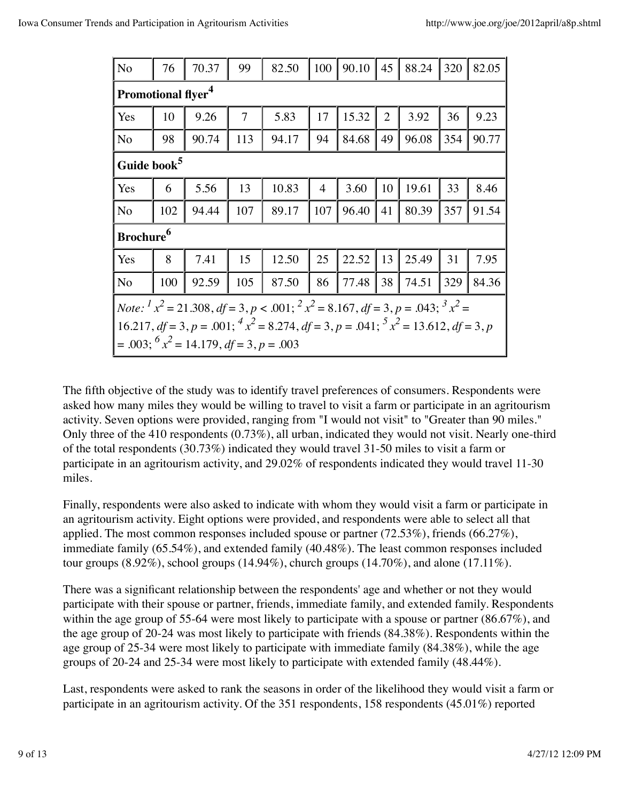| N <sub>o</sub>                                                                                          | 76  | 70.37 | 99  | 82.50 | 100            | 90.10 | 45             | 88.24 | 320 | 82.05 |
|---------------------------------------------------------------------------------------------------------|-----|-------|-----|-------|----------------|-------|----------------|-------|-----|-------|
| <b>Promotional flyer<sup>4</sup></b>                                                                    |     |       |     |       |                |       |                |       |     |       |
| Yes                                                                                                     | 10  | 9.26  | 7   | 5.83  | 17             | 15.32 | $\overline{2}$ | 3.92  | 36  | 9.23  |
| N <sub>o</sub>                                                                                          | 98  | 90.74 | 113 | 94.17 | 94             | 84.68 | 49             | 96.08 | 354 | 90.77 |
| Guide book <sup>5</sup>                                                                                 |     |       |     |       |                |       |                |       |     |       |
| Yes                                                                                                     | 6   | 5.56  | 13  | 10.83 | $\overline{4}$ | 3.60  | 10             | 19.61 | 33  | 8.46  |
| N <sub>o</sub>                                                                                          | 102 | 94.44 | 107 | 89.17 | 107            | 96.40 | 41             | 80.39 | 357 | 91.54 |
| Brochure <sup>6</sup>                                                                                   |     |       |     |       |                |       |                |       |     |       |
| Yes                                                                                                     | 8   | 7.41  | 15  | 12.50 | 25             | 22.52 | 13             | 25.49 | 31  | 7.95  |
| N <sub>o</sub>                                                                                          | 100 | 92.59 | 105 | 87.50 | 86             | 77.48 | 38             | 74.51 | 329 | 84.36 |
| <i>Note:</i> $x^2 = 21.308$ , $df = 3$ , $p < .001$ ; $x^2 = 8.167$ , $df = 3$ , $p = .043$ ; $x^3 =$   |     |       |     |       |                |       |                |       |     |       |
| 16.217, $df = 3$ , $p = .001$ ; $4x^2 = 8.274$ , $df = 3$ , $p = .041$ ; $5x^2 = 13.612$ , $df = 3$ , p |     |       |     |       |                |       |                |       |     |       |
| $= .003; ^{6}x^{2} = 14.179, df = 3, p = .003$                                                          |     |       |     |       |                |       |                |       |     |       |

The fifth objective of the study was to identify travel preferences of consumers. Respondents were asked how many miles they would be willing to travel to visit a farm or participate in an agritourism activity. Seven options were provided, ranging from "I would not visit" to "Greater than 90 miles." Only three of the 410 respondents (0.73%), all urban, indicated they would not visit. Nearly one-third of the total respondents (30.73%) indicated they would travel 31-50 miles to visit a farm or participate in an agritourism activity, and 29.02% of respondents indicated they would travel 11-30 miles.

Finally, respondents were also asked to indicate with whom they would visit a farm or participate in an agritourism activity. Eight options were provided, and respondents were able to select all that applied. The most common responses included spouse or partner (72.53%), friends (66.27%), immediate family (65.54%), and extended family (40.48%). The least common responses included tour groups  $(8.92\%)$ , school groups  $(14.94\%)$ , church groups  $(14.70\%)$ , and alone  $(17.11\%)$ .

There was a significant relationship between the respondents' age and whether or not they would participate with their spouse or partner, friends, immediate family, and extended family. Respondents within the age group of 55-64 were most likely to participate with a spouse or partner (86.67%), and the age group of 20-24 was most likely to participate with friends (84.38%). Respondents within the age group of 25-34 were most likely to participate with immediate family (84.38%), while the age groups of 20-24 and 25-34 were most likely to participate with extended family (48.44%).

Last, respondents were asked to rank the seasons in order of the likelihood they would visit a farm or participate in an agritourism activity. Of the 351 respondents, 158 respondents (45.01%) reported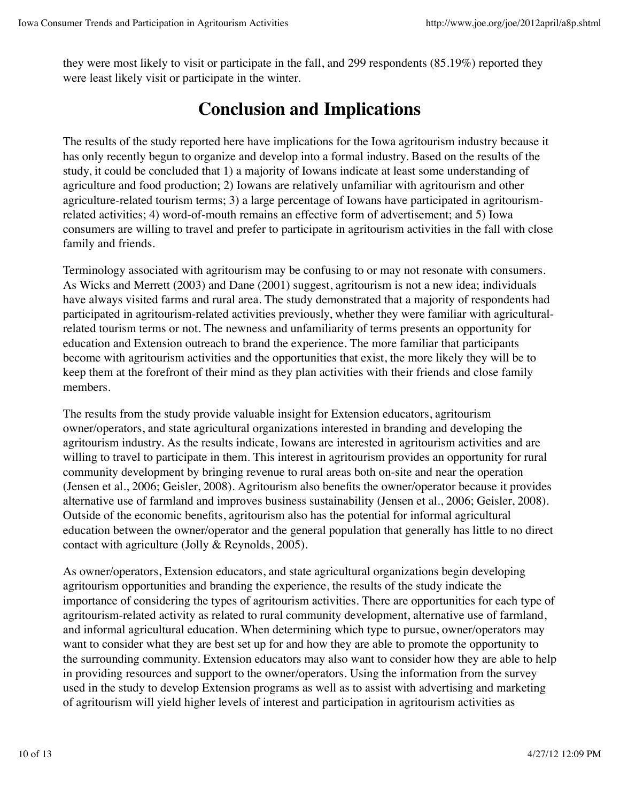they were most likely to visit or participate in the fall, and 299 respondents (85.19%) reported they were least likely visit or participate in the winter.

### **Conclusion and Implications**

The results of the study reported here have implications for the Iowa agritourism industry because it has only recently begun to organize and develop into a formal industry. Based on the results of the study, it could be concluded that 1) a majority of Iowans indicate at least some understanding of agriculture and food production; 2) Iowans are relatively unfamiliar with agritourism and other agriculture-related tourism terms; 3) a large percentage of Iowans have participated in agritourismrelated activities; 4) word-of-mouth remains an effective form of advertisement; and 5) Iowa consumers are willing to travel and prefer to participate in agritourism activities in the fall with close family and friends.

Terminology associated with agritourism may be confusing to or may not resonate with consumers. As Wicks and Merrett (2003) and Dane (2001) suggest, agritourism is not a new idea; individuals have always visited farms and rural area. The study demonstrated that a majority of respondents had participated in agritourism-related activities previously, whether they were familiar with agriculturalrelated tourism terms or not. The newness and unfamiliarity of terms presents an opportunity for education and Extension outreach to brand the experience. The more familiar that participants become with agritourism activities and the opportunities that exist, the more likely they will be to keep them at the forefront of their mind as they plan activities with their friends and close family members.

The results from the study provide valuable insight for Extension educators, agritourism owner/operators, and state agricultural organizations interested in branding and developing the agritourism industry. As the results indicate, Iowans are interested in agritourism activities and are willing to travel to participate in them. This interest in agritourism provides an opportunity for rural community development by bringing revenue to rural areas both on-site and near the operation (Jensen et al., 2006; Geisler, 2008). Agritourism also benefits the owner/operator because it provides alternative use of farmland and improves business sustainability (Jensen et al., 2006; Geisler, 2008). Outside of the economic benefits, agritourism also has the potential for informal agricultural education between the owner/operator and the general population that generally has little to no direct contact with agriculture (Jolly & Reynolds, 2005).

As owner/operators, Extension educators, and state agricultural organizations begin developing agritourism opportunities and branding the experience, the results of the study indicate the importance of considering the types of agritourism activities. There are opportunities for each type of agritourism-related activity as related to rural community development, alternative use of farmland, and informal agricultural education. When determining which type to pursue, owner/operators may want to consider what they are best set up for and how they are able to promote the opportunity to the surrounding community. Extension educators may also want to consider how they are able to help in providing resources and support to the owner/operators. Using the information from the survey used in the study to develop Extension programs as well as to assist with advertising and marketing of agritourism will yield higher levels of interest and participation in agritourism activities as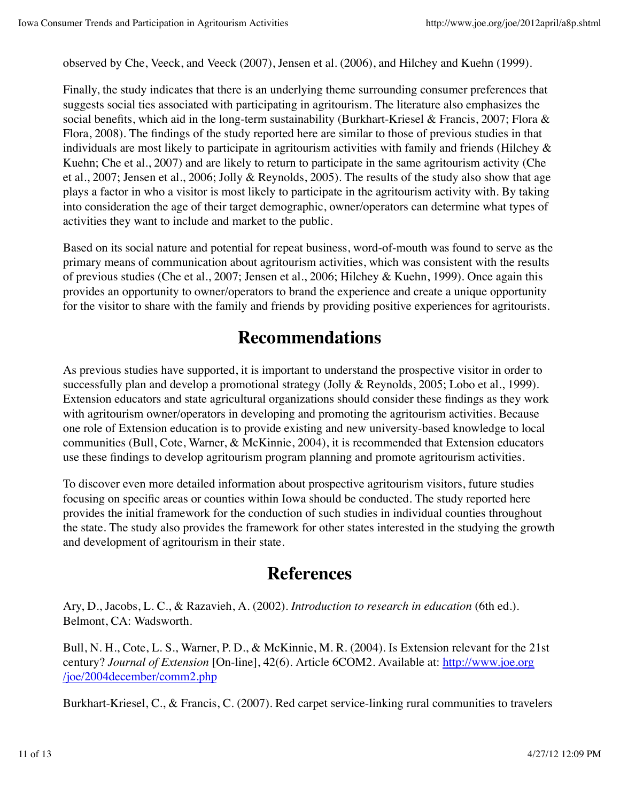observed by Che, Veeck, and Veeck (2007), Jensen et al. (2006), and Hilchey and Kuehn (1999).

Finally, the study indicates that there is an underlying theme surrounding consumer preferences that suggests social ties associated with participating in agritourism. The literature also emphasizes the social benefits, which aid in the long-term sustainability (Burkhart-Kriesel & Francis, 2007; Flora & Flora, 2008). The findings of the study reported here are similar to those of previous studies in that individuals are most likely to participate in agritourism activities with family and friends (Hilchey & Kuehn; Che et al., 2007) and are likely to return to participate in the same agritourism activity (Che et al., 2007; Jensen et al., 2006; Jolly & Reynolds, 2005). The results of the study also show that age plays a factor in who a visitor is most likely to participate in the agritourism activity with. By taking into consideration the age of their target demographic, owner/operators can determine what types of activities they want to include and market to the public.

Based on its social nature and potential for repeat business, word-of-mouth was found to serve as the primary means of communication about agritourism activities, which was consistent with the results of previous studies (Che et al., 2007; Jensen et al., 2006; Hilchey & Kuehn, 1999). Once again this provides an opportunity to owner/operators to brand the experience and create a unique opportunity for the visitor to share with the family and friends by providing positive experiences for agritourists.

#### **Recommendations**

As previous studies have supported, it is important to understand the prospective visitor in order to successfully plan and develop a promotional strategy (Jolly & Reynolds, 2005; Lobo et al., 1999). Extension educators and state agricultural organizations should consider these findings as they work with agritourism owner/operators in developing and promoting the agritourism activities. Because one role of Extension education is to provide existing and new university-based knowledge to local communities (Bull, Cote, Warner, & McKinnie, 2004), it is recommended that Extension educators use these findings to develop agritourism program planning and promote agritourism activities.

To discover even more detailed information about prospective agritourism visitors, future studies focusing on specific areas or counties within Iowa should be conducted. The study reported here provides the initial framework for the conduction of such studies in individual counties throughout the state. The study also provides the framework for other states interested in the studying the growth and development of agritourism in their state.

### **References**

Ary, D., Jacobs, L. C., & Razavieh, A. (2002). *Introduction to research in education* (6th ed.). Belmont, CA: Wadsworth.

Bull, N. H., Cote, L. S., Warner, P. D., & McKinnie, M. R. (2004). Is Extension relevant for the 21st century? *Journal of Extension* [On-line], 42(6). Article 6COM2. Available at: http://www.joe.org /joe/2004december/comm2.php

Burkhart-Kriesel, C., & Francis, C. (2007). Red carpet service-linking rural communities to travelers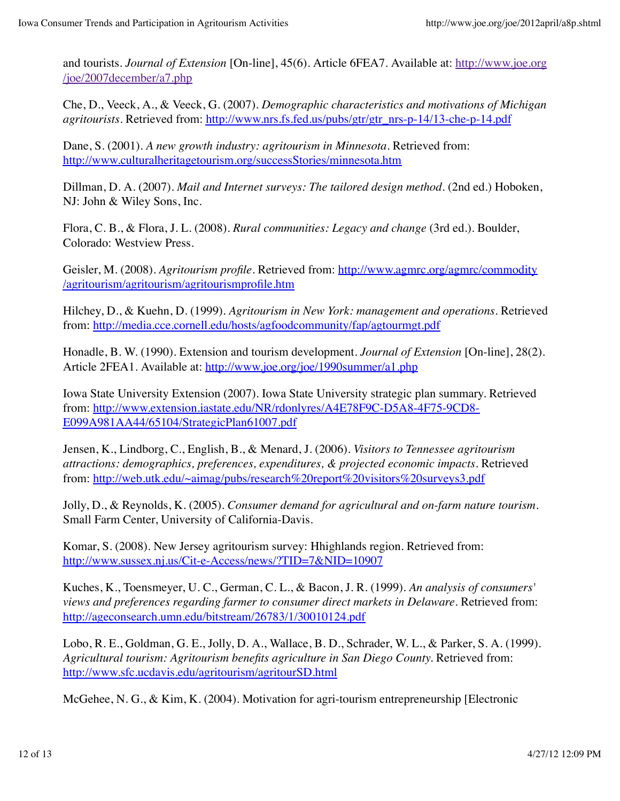and tourists. *Journal of Extension* [On-line], 45(6). Article 6FEA7. Available at: http://www.joe.org /joe/2007december/a7.php

Che, D., Veeck, A., & Veeck, G. (2007). *Demographic characteristics and motivations of Michigan agritourists.* Retrieved from: http://www.nrs.fs.fed.us/pubs/gtr/gtr\_nrs-p-14/13-che-p-14.pdf

Dane, S. (2001). *A new growth industry: agritourism in Minnesota.* Retrieved from: http://www.culturalheritagetourism.org/successStories/minnesota.htm

Dillman, D. A. (2007). *Mail and Internet surveys: The tailored design method.* (2nd ed.) Hoboken, NJ: John & Wiley Sons, Inc.

Flora, C. B., & Flora, J. L. (2008). *Rural communities: Legacy and change* (3rd ed.). Boulder, Colorado: Westview Press.

Geisler, M. (2008). *Agritourism profile.* Retrieved from: http://www.agmrc.org/agmrc/commodity /agritourism/agritourism/agritourismprofile.htm

Hilchey, D., & Kuehn, D. (1999). *Agritourism in New York: management and operations*. Retrieved from: http://media.cce.cornell.edu/hosts/agfoodcommunity/fap/agtourmgt.pdf

Honadle, B. W. (1990). Extension and tourism development. *Journal of Extension* [On-line], 28(2). Article 2FEA1. Available at: http://www.joe.org/joe/1990summer/a1.php

Iowa State University Extension (2007). Iowa State University strategic plan summary. Retrieved from: http://www.extension.iastate.edu/NR/rdonlyres/A4E78F9C-D5A8-4F75-9CD8- E099A981AA44/65104/StrategicPlan61007.pdf

Jensen, K., Lindborg, C., English, B., & Menard, J. (2006). *Visitors to Tennessee agritourism attractions: demographics, preferences, expenditures, & projected economic impacts.* Retrieved from: http://web.utk.edu/~aimag/pubs/research%20report%20visitors%20surveys3.pdf

Jolly, D., & Reynolds, K. (2005). *Consumer demand for agricultural and on-farm nature tourism.* Small Farm Center, University of California-Davis.

Komar, S. (2008). New Jersey agritourism survey: Hhighlands region. Retrieved from: http://www.sussex.nj.us/Cit-e-Access/news/?TID=7&NID=10907

Kuches, K., Toensmeyer, U. C., German, C. L., & Bacon, J. R. (1999). *An analysis of consumers' views and preferences regarding farmer to consumer direct markets in Delaware*. Retrieved from: http://ageconsearch.umn.edu/bitstream/26783/1/30010124.pdf

Lobo, R. E., Goldman, G. E., Jolly, D. A., Wallace, B. D., Schrader, W. L., & Parker, S. A. (1999). *Agricultural tourism: Agritourism benefits agriculture in San Diego County.* Retrieved from: http://www.sfc.ucdavis.edu/agritourism/agritourSD.html

McGehee, N. G., & Kim, K. (2004). Motivation for agri-tourism entrepreneurship [Electronic